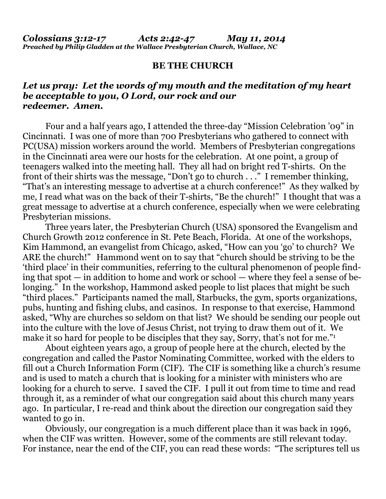## **BE THE CHURCH**

## *Let us pray: Let the words of my mouth and the meditation of my heart be acceptable to you, O Lord, our rock and our redeemer. Amen.*

Four and a half years ago, I attended the three-day "Mission Celebration '09" in Cincinnati. I was one of more than 700 Presbyterians who gathered to connect with PC(USA) mission workers around the world. Members of Presbyterian congregations in the Cincinnati area were our hosts for the celebration. At one point, a group of teenagers walked into the meeting hall. They all had on bright red T-shirts. On the front of their shirts was the message, "Don't go to church . . ." I remember thinking, "That's an interesting message to advertise at a church conference!" As they walked by me, I read what was on the back of their T-shirts, "Be the church!" I thought that was a great message to advertise at a church conference, especially when we were celebrating Presbyterian missions.

 Three years later, the Presbyterian Church (USA) sponsored the Evangelism and Church Growth 2012 conference in St. Pete Beach, Florida. At one of the workshops, Kim Hammond, an evangelist from Chicago, asked, "How can you 'go' to church? We ARE the church!" Hammond went on to say that "church should be striving to be the 'third place' in their communities, referring to the cultural phenomenon of people finding that spot — in addition to home and work or school — where they feel a sense of belonging." In the workshop, Hammond asked people to list places that might be such "third places." Participants named the mall, Starbucks, the gym, sports organizations, pubs, hunting and fishing clubs, and casinos. In response to that exercise, Hammond asked, "Why are churches so seldom on that list? We should be sending our people out into the culture with the love of Jesus Christ, not trying to draw them out of it. We make it so hard for people to be disciples that they say, Sorry, that's not for me."<sup>1</sup>

About eighteen years ago, a group of people here at the church, elected by the congregation and called the Pastor Nominating Committee, worked with the elders to fill out a Church Information Form (CIF). The CIF is something like a church's resume and is used to match a church that is looking for a minister with ministers who are looking for a church to serve. I saved the CIF. I pull it out from time to time and read through it, as a reminder of what our congregation said about this church many years ago. In particular, I re-read and think about the direction our congregation said they wanted to go in.

 Obviously, our congregation is a much different place than it was back in 1996, when the CIF was written. However, some of the comments are still relevant today. For instance, near the end of the CIF, you can read these words: "The scriptures tell us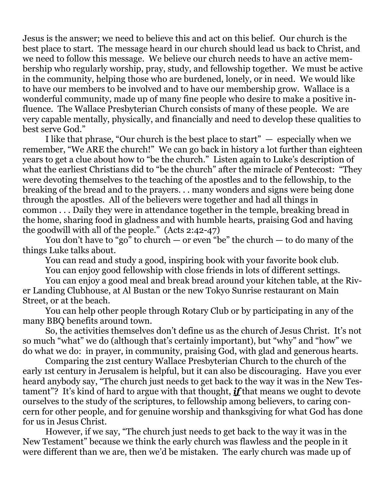Jesus is the answer; we need to believe this and act on this belief. Our church is the best place to start. The message heard in our church should lead us back to Christ, and we need to follow this message. We believe our church needs to have an active membership who regularly worship, pray, study, and fellowship together. We must be active in the community, helping those who are burdened, lonely, or in need. We would like to have our members to be involved and to have our membership grow. Wallace is a wonderful community, made up of many fine people who desire to make a positive influence. The Wallace Presbyterian Church consists of many of these people. We are very capable mentally, physically, and financially and need to develop these qualities to best serve God."

I like that phrase, "Our church is the best place to start"  $-$  especially when we remember, "We ARE the church!" We can go back in history a lot further than eighteen years to get a clue about how to "be the church." Listen again to Luke's description of what the earliest Christians did to "be the church" after the miracle of Pentecost: "They were devoting themselves to the teaching of the apostles and to the fellowship, to the breaking of the bread and to the prayers. . . many wonders and signs were being done through the apostles. All of the believers were together and had all things in common . . . Daily they were in attendance together in the temple, breaking bread in the home, sharing food in gladness and with humble hearts, praising God and having the goodwill with all of the people." (Acts 2:42-47)

You don't have to "go" to church  $-$  or even "be" the church  $-$  to do many of the things Luke talks about.

You can read and study a good, inspiring book with your favorite book club.

You can enjoy good fellowship with close friends in lots of different settings.

 You can enjoy a good meal and break bread around your kitchen table, at the River Landing Clubhouse, at Al Bustan or the new Tokyo Sunrise restaurant on Main Street, or at the beach.

 You can help other people through Rotary Club or by participating in any of the many BBQ benefits around town.

 So, the activities themselves don't define us as the church of Jesus Christ. It's not so much "what" we do (although that's certainly important), but "why" and "how" we do what we do: in prayer, in community, praising God, with glad and generous hearts.

 Comparing the 21st century Wallace Presbyterian Church to the church of the early 1st century in Jerusalem is helpful, but it can also be discouraging. Have you ever heard anybody say, "The church just needs to get back to the way it was in the New Testament"? It's kind of hard to argue with that thought, *if* that means we ought to devote ourselves to the study of the scriptures, to fellowship among believers, to caring concern for other people, and for genuine worship and thanksgiving for what God has done for us in Jesus Christ.

 However, if we say, "The church just needs to get back to the way it was in the New Testament" because we think the early church was flawless and the people in it were different than we are, then we'd be mistaken. The early church was made up of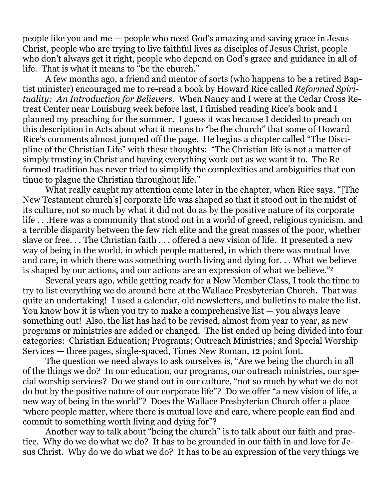people like you and me — people who need God's amazing and saving grace in Jesus Christ, people who are trying to live faithful lives as disciples of Jesus Christ, people who don't always get it right, people who depend on God's grace and guidance in all of life. That is what it means to "be the church."

 A few months ago, a friend and mentor of sorts (who happens to be a retired Baptist minister) encouraged me to re-read a book by Howard Rice called *Reformed Spirituality: An Introduction for Believers.* When Nancy and I were at the Cedar Cross Retreat Center near Louisburg week before last, I finished reading Rice's book and I planned my preaching for the summer. I guess it was because I decided to preach on this description in Acts about what it means to "be the church" that some of Howard Rice's comments almost jumped off the page. He begins a chapter called "The Discipline of the Christian Life" with these thoughts: "The Christian life is not a matter of simply trusting in Christ and having everything work out as we want it to. The Reformed tradition has never tried to simplify the complexities and ambiguities that continue to plague the Christian throughout life."

 What really caught my attention came later in the chapter, when Rice says, "[The New Testament church's] corporate life was shaped so that it stood out in the midst of its culture, not so much by what it did not do as by the positive nature of its corporate life . . .Here was a community that stood out in a world of greed, religious cynicism, and a terrible disparity between the few rich elite and the great masses of the poor, whether slave or free. . . The Christian faith . . . offered a new vision of life. It presented a new way of being in the world, in which people mattered, in which there was mutual love and care, in which there was something worth living and dying for. . . What we believe is shaped by our actions, and our actions are an expression of what we believe."<sup>2</sup>

Several years ago, while getting ready for a New Member Class, I took the time to try to list everything we do around here at the Wallace Presbyterian Church. That was quite an undertaking! I used a calendar, old newsletters, and bulletins to make the list. You know how it is when you try to make a comprehensive list — you always leave something out! Also, the list has had to be revised, almost from year to year, as new programs or ministries are added or changed. The list ended up being divided into four categories: Christian Education; Programs; Outreach Ministries; and Special Worship Services — three pages, single-spaced, Times New Roman, 12 point font.

 The question we need always to ask ourselves is, "Are we being the church in all of the things we do? In our education, our programs, our outreach ministries, our special worship services? Do we stand out in our culture, "not so much by what we do not do but by the positive nature of our corporate life"? Do we offer "a new vision of life, a new way of being in the world"? Does the Wallace Presbyterian Church offer a place "where people matter, where there is mutual love and care, where people can find and commit to something worth living and dying for"?

 Another way to talk about "being the church" is to talk about our faith and practice. Why do we do what we do? It has to be grounded in our faith in and love for Jesus Christ. Why do we do what we do? It has to be an expression of the very things we